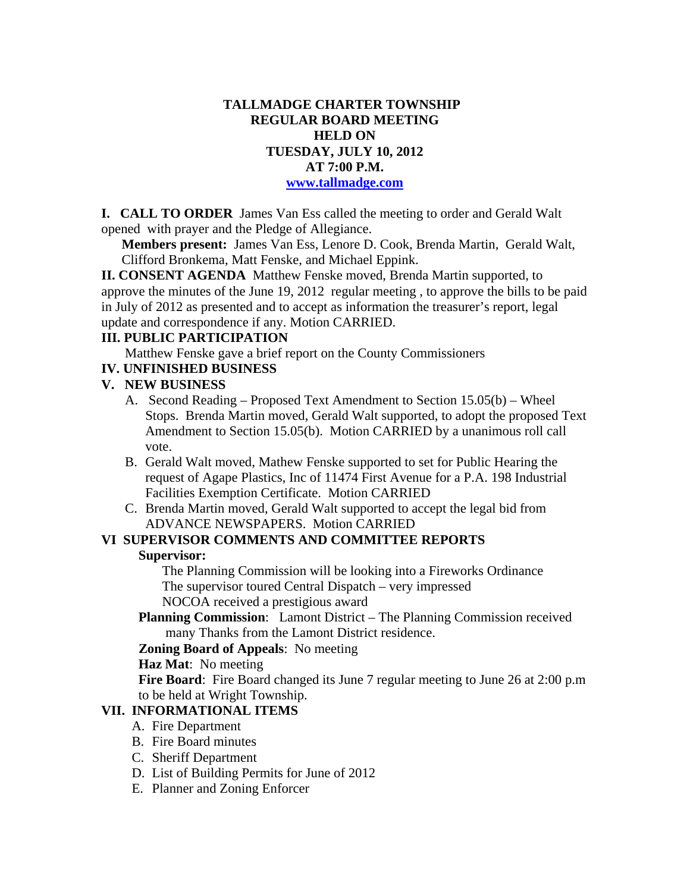### **TALLMADGE CHARTER TOWNSHIP REGULAR BOARD MEETING HELD ON TUESDAY, JULY 10, 2012 AT 7:00 P.M. www.tallmadge.com**

**I. CALL TO ORDER** James Van Ess called the meeting to order and Gerald Walt opened with prayer and the Pledge of Allegiance.

**Members present:** James Van Ess, Lenore D. Cook, Brenda Martin, Gerald Walt, Clifford Bronkema, Matt Fenske, and Michael Eppink.

**II. CONSENT AGENDA** Matthew Fenske moved, Brenda Martin supported, to approve the minutes of the June 19, 2012 regular meeting , to approve the bills to be paid in July of 2012 as presented and to accept as information the treasurer's report, legal update and correspondence if any. Motion CARRIED.

### **III. PUBLIC PARTICIPATION**

Matthew Fenske gave a brief report on the County Commissioners

**IV. UNFINISHED BUSINESS**

# **V. NEW BUSINESS**

- A. Second Reading Proposed Text Amendment to Section 15.05(b) Wheel Stops. Brenda Martin moved, Gerald Walt supported, to adopt the proposed Text Amendment to Section 15.05(b). Motion CARRIED by a unanimous roll call vote.
- B. Gerald Walt moved, Mathew Fenske supported to set for Public Hearing the request of Agape Plastics, Inc of 11474 First Avenue for a P.A. 198 Industrial Facilities Exemption Certificate. Motion CARRIED
- C. Brenda Martin moved, Gerald Walt supported to accept the legal bid from ADVANCE NEWSPAPERS. Motion CARRIED

# **VI SUPERVISOR COMMENTS AND COMMITTEE REPORTS**

#### **Supervisor:**

The Planning Commission will be looking into a Fireworks Ordinance The supervisor toured Central Dispatch – very impressed NOCOA received a prestigious award

 **Planning Commission**: Lamont District – The Planning Commission received many Thanks from the Lamont District residence.

#### **Zoning Board of Appeals**: No meeting

**Haz Mat**: No meeting

 **Fire Board**: Fire Board changed its June 7 regular meeting to June 26 at 2:00 p.m to be held at Wright Township.

# **VII. INFORMATIONAL ITEMS**

- A. Fire Department
- B. Fire Board minutes
- C. Sheriff Department
- D. List of Building Permits for June of 2012
- E. Planner and Zoning Enforcer